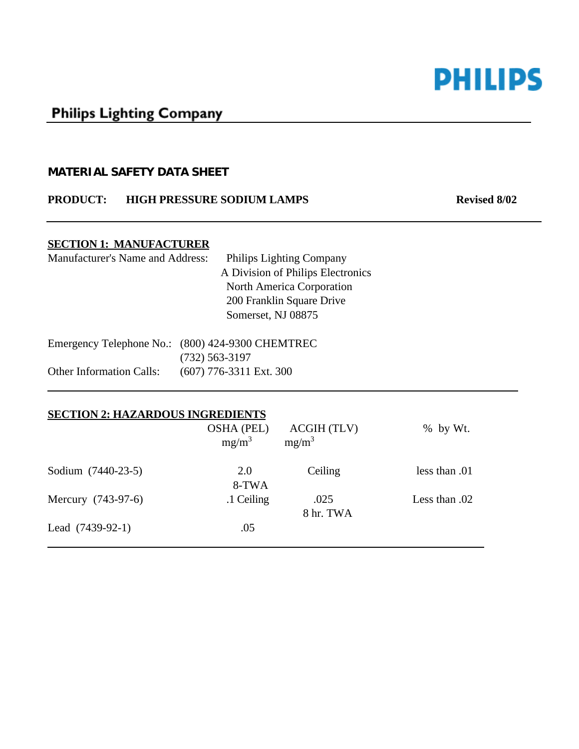

# **Philips Lighting Company**

#### **MATERIAL SAFETY DATA SHEET**

#### **PRODUCT:** HIGH PRESSURE SODIUM LAMPS Revised 8/02

## **SECTION 1: MANUFACTURER**

 $\overline{a}$ 

| <b>Manufacturer's Name and Address:</b> | <b>Philips Lighting Company</b>                  |
|-----------------------------------------|--------------------------------------------------|
|                                         | A Division of Philips Electronics                |
|                                         | North America Corporation                        |
|                                         | 200 Franklin Square Drive                        |
|                                         | Somerset, NJ 08875                               |
|                                         | Emergency Telephone No.: (800) 424-9300 CHEMTREC |
|                                         | $(732)$ 563-3197                                 |

Other Information Calls: (607) 776-3311 Ext. 300

#### **SECTION 2: HAZARDOUS INGREDIENTS**

|                    | <b>OSHA (PEL)</b><br>$mg/m^3$ | ACGIH (TLV)<br>$mg/m^3$ | $%$ by Wt.    |
|--------------------|-------------------------------|-------------------------|---------------|
| Sodium (7440-23-5) | 2.0<br>8-TWA                  | Ceiling                 | less than .01 |
| Mercury (743-97-6) | .1 Ceiling                    | .025<br>8 hr. TWA       | Less than .02 |
| Lead $(7439-92-1)$ | .05                           |                         |               |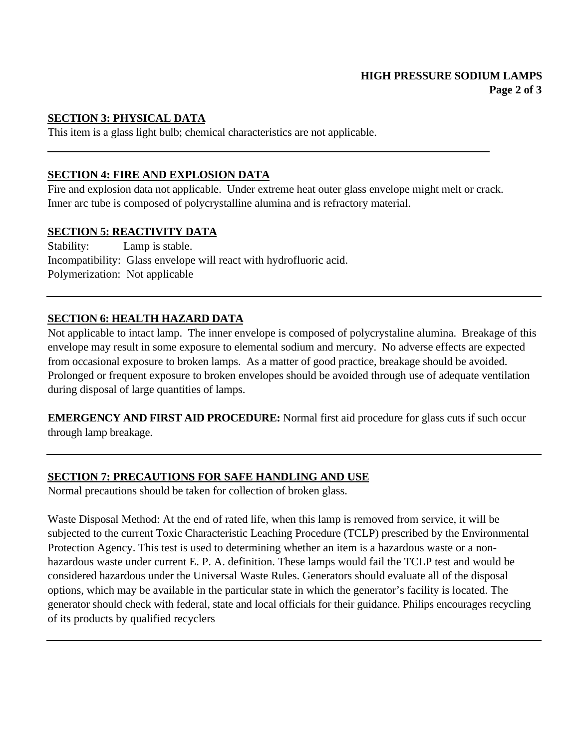# **SECTION 3: PHYSICAL DATA**

 $\overline{a}$ 

This item is a glass light bulb; chemical characteristics are not applicable.

# **SECTION 4: FIRE AND EXPLOSION DATA**

Fire and explosion data not applicable. Under extreme heat outer glass envelope might melt or crack. Inner arc tube is composed of polycrystalline alumina and is refractory material.

## **SECTION 5: REACTIVITY DATA**

Stability: Lamp is stable. Incompatibility: Glass envelope will react with hydrofluoric acid. Polymerization: Not applicable

# **SECTION 6: HEALTH HAZARD DATA**

Not applicable to intact lamp. The inner envelope is composed of polycrystaline alumina. Breakage of this envelope may result in some exposure to elemental sodium and mercury. No adverse effects are expected from occasional exposure to broken lamps. As a matter of good practice, breakage should be avoided. Prolonged or frequent exposure to broken envelopes should be avoided through use of adequate ventilation during disposal of large quantities of lamps.

**EMERGENCY AND FIRST AID PROCEDURE:** Normal first aid procedure for glass cuts if such occur through lamp breakage.

# **SECTION 7: PRECAUTIONS FOR SAFE HANDLING AND USE**

Normal precautions should be taken for collection of broken glass.

Waste Disposal Method: At the end of rated life, when this lamp is removed from service, it will be subjected to the current Toxic Characteristic Leaching Procedure (TCLP) prescribed by the Environmental Protection Agency. This test is used to determining whether an item is a hazardous waste or a nonhazardous waste under current E. P. A. definition. These lamps would fail the TCLP test and would be considered hazardous under the Universal Waste Rules. Generators should evaluate all of the disposal options, which may be available in the particular state in which the generator's facility is located. The generator should check with federal, state and local officials for their guidance. Philips encourages recycling of its products by qualified recyclers